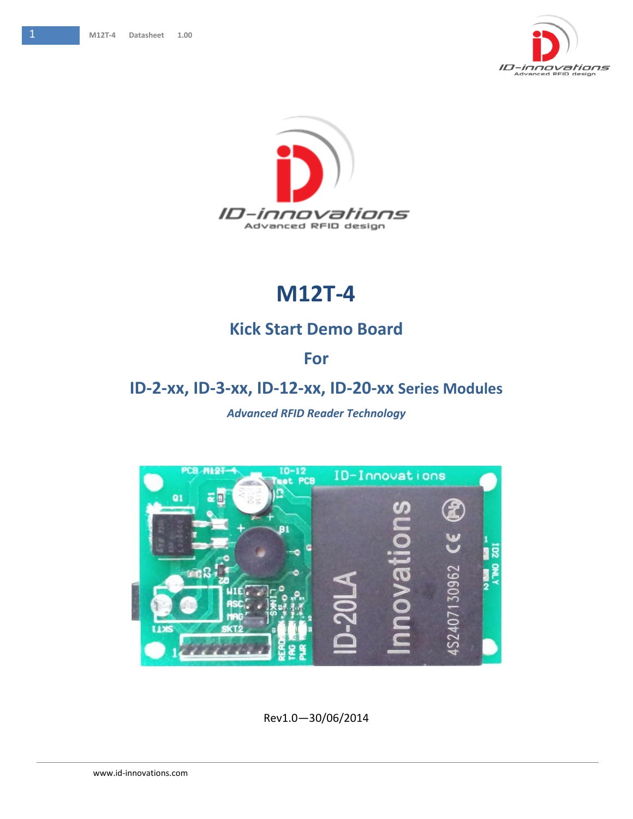



## **M12T-4**

## **Kick Start Demo Board**

## **For**

## **ID-2-xx, ID-3-xx, ID-12-xx, ID-20-xx Series Modules**

#### *Advanced RFID Reader Technology*



Rev1.0—30/06/2014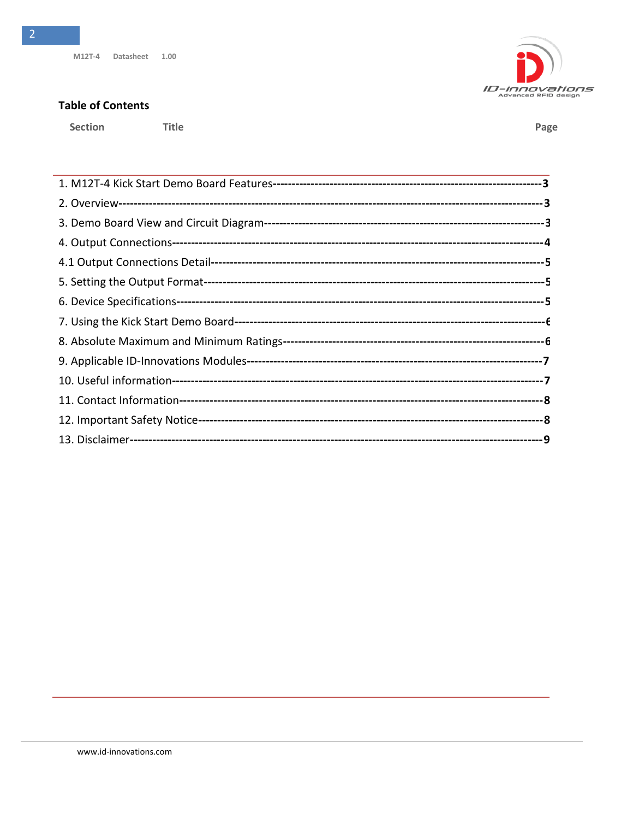Title

#### **Table of Contents**

Section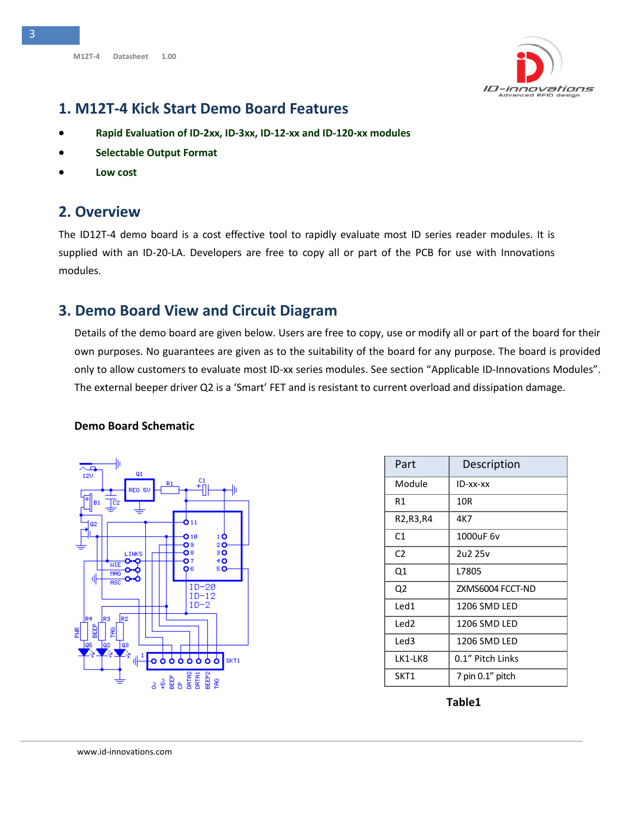

#### <span id="page-2-0"></span>**1. M12T-4 Kick Start Demo Board Features**

- **Rapid Evaluation of ID-2xx, ID-3xx, ID-12-xx and ID-120-xx modules**
- **Selectable Output Format**
- **Low cost**

#### <span id="page-2-1"></span>**2. Overview**

The ID12T-4 demo board is a cost effective tool to rapidly evaluate most ID series reader modules. It is supplied with an ID-20-LA. Developers are free to copy all or part of the PCB for use with Innovations modules.

#### <span id="page-2-2"></span>**3. Demo Board View and Circuit Diagram**

Details of the demo board are given below. Users are free to copy, use or modify all or part of the board for their own purposes. No guarantees are given as to the suitability of the board for any purpose. The board is provided only to allow customers to evaluate most ID-xx series modules. See section "Applicable ID-Innovations Modules". The external beeper driver Q2 is a 'Smart' FET and is resistant to current overload and dissipation damage.

#### **Demo Board Schematic**



| Part           | Description      |
|----------------|------------------|
| Module         | ID-xx-xx         |
| R1             | 10R              |
| R2,R3,R4       | 4K7              |
| C1             | 1000uF 6v        |
| C <sub>2</sub> | 2u2 25v          |
| Q1             | L7805            |
| Q2             | ZXMS6004 FCCT-ND |
| Led1           | 1206 SMD LED     |
| Led2           | 1206 SMD LED     |
| Led3           | 1206 SMD LED     |
| LK1-LK8        | 0.1" Pitch Links |
| SKT1           | 7 pin 0.1" pitch |

**Table1**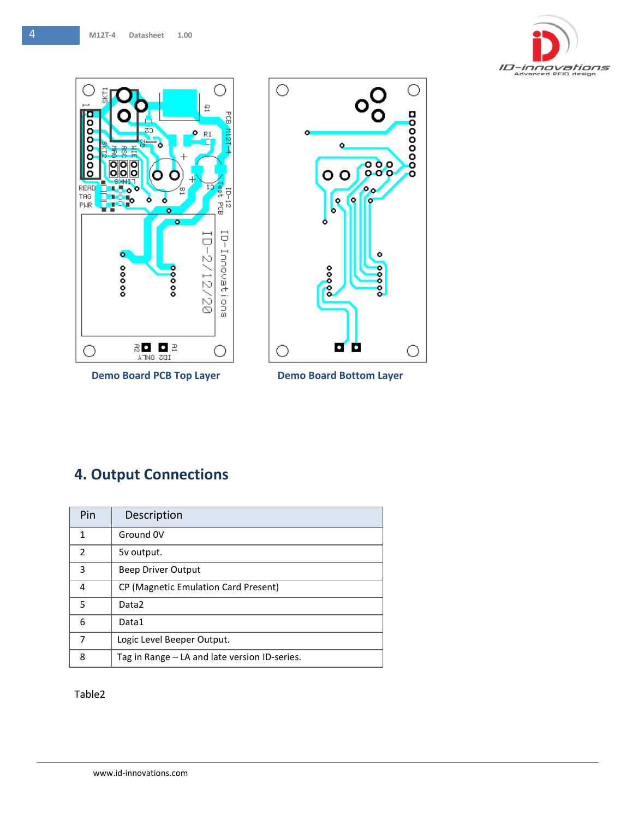



**Demo Board PCB Top Layer Demo Board Bottom Layer** 



## <span id="page-3-0"></span>**4. Output Connections**

| Pin                      | Description                                   |  |  |
|--------------------------|-----------------------------------------------|--|--|
| 1                        | Ground 0V                                     |  |  |
| $\overline{\phantom{a}}$ | 5v output.                                    |  |  |
| 3                        | Beep Driver Output                            |  |  |
| 4                        | CP (Magnetic Emulation Card Present)          |  |  |
| 5                        | Data <sub>2</sub>                             |  |  |
| 6                        | Data1                                         |  |  |
| 7                        | Logic Level Beeper Output.                    |  |  |
| 8                        | Tag in Range – LA and late version ID-series. |  |  |

Table2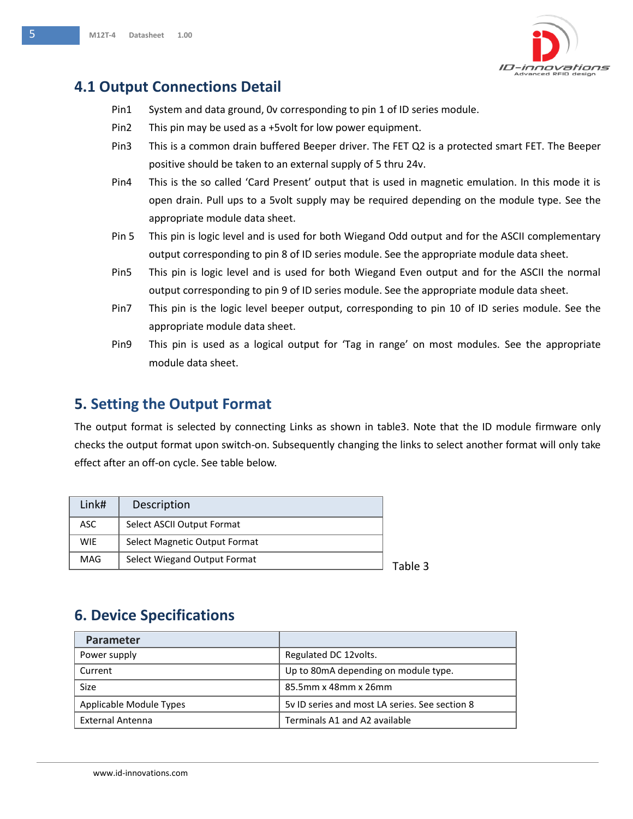

## <span id="page-4-0"></span>**4.1 Output Connections Detail**

- Pin1 System and data ground, 0v corresponding to pin 1 of ID series module.
- Pin2 This pin may be used as a +5volt for low power equipment.
- Pin3 This is a common drain buffered Beeper driver. The FET Q2 is a protected smart FET. The Beeper positive should be taken to an external supply of 5 thru 24v.
- Pin4 This is the so called 'Card Present' output that is used in magnetic emulation. In this mode it is open drain. Pull ups to a 5volt supply may be required depending on the module type. See the appropriate module data sheet.
- Pin 5 This pin is logic level and is used for both Wiegand Odd output and for the ASCII complementary output corresponding to pin 8 of ID series module. See the appropriate module data sheet.
- Pin5 This pin is logic level and is used for both Wiegand Even output and for the ASCII the normal output corresponding to pin 9 of ID series module. See the appropriate module data sheet.
- Pin7 This pin is the logic level beeper output, corresponding to pin 10 of ID series module. See the appropriate module data sheet.
- Pin9 This pin is used as a logical output for 'Tag in range' on most modules. See the appropriate module data sheet.

#### <span id="page-4-1"></span>**5. Setting the Output Format**

The output format is selected by connecting Links as shown in table3. Note that the ID module firmware only checks the output format upon switch-on. Subsequently changing the links to select another format will only take effect after an off-on cycle. See table below.

| Link#      | Description                   |         |
|------------|-------------------------------|---------|
| ASC.       | Select ASCII Output Format    |         |
| <b>WIE</b> | Select Magnetic Output Format |         |
| MAG        | Select Wiegand Output Format  | ؟ Table |

## <span id="page-4-2"></span>**6. Device Specifications**

| Parameter               |                                                |
|-------------------------|------------------------------------------------|
| Power supply            | Regulated DC 12volts.                          |
| Current                 | Up to 80mA depending on module type.           |
| Size                    | 85.5mm x 48mm x 26mm                           |
| Applicable Module Types | 5v ID series and most LA series. See section 8 |
| <b>External Antenna</b> | Terminals A1 and A2 available                  |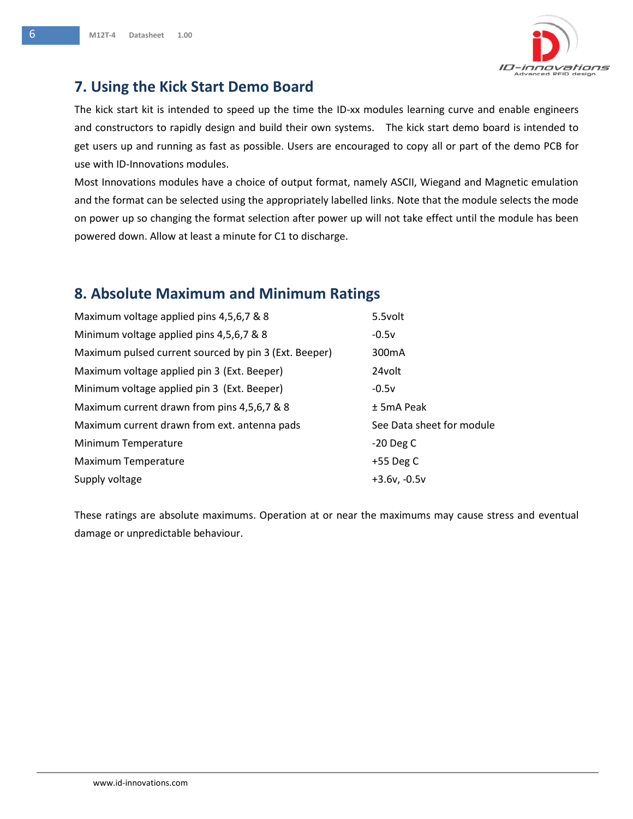

## <span id="page-5-0"></span>**7. Using the Kick Start Demo Board**

The kick start kit is intended to speed up the time the ID-xx modules learning curve and enable engineers and constructors to rapidly design and build their own systems. The kick start demo board is intended to get users up and running as fast as possible. Users are encouraged to copy all or part of the demo PCB for use with ID-Innovations modules.

Most Innovations modules have a choice of output format, namely ASCII, Wiegand and Magnetic emulation and the format can be selected using the appropriately labelled links. Note that the module selects the mode on power up so changing the format selection after power up will not take effect until the module has been powered down. Allow at least a minute for C1 to discharge.

## <span id="page-5-1"></span>**8. Absolute Maximum and Minimum Ratings**

| Maximum voltage applied pins 4,5,6,7 & 8              | 5.5volt                   |
|-------------------------------------------------------|---------------------------|
| Minimum voltage applied pins 4,5,6,7 & 8              | $-0.5v$                   |
| Maximum pulsed current sourced by pin 3 (Ext. Beeper) | 300 <sub>m</sub> A        |
| Maximum voltage applied pin 3 (Ext. Beeper)           | 24volt                    |
| Minimum voltage applied pin 3 (Ext. Beeper)           | $-0.5v$                   |
| Maximum current drawn from pins 4,5,6,7 & 8           | $±$ 5mA Peak              |
| Maximum current drawn from ext. antenna pads          | See Data sheet for module |
| Minimum Temperature                                   | $-20$ Deg C               |
| Maximum Temperature                                   | +55 Deg C                 |
| Supply voltage                                        | $+3.6v, -0.5v$            |

These ratings are absolute maximums. Operation at or near the maximums may cause stress and eventual damage or unpredictable behaviour.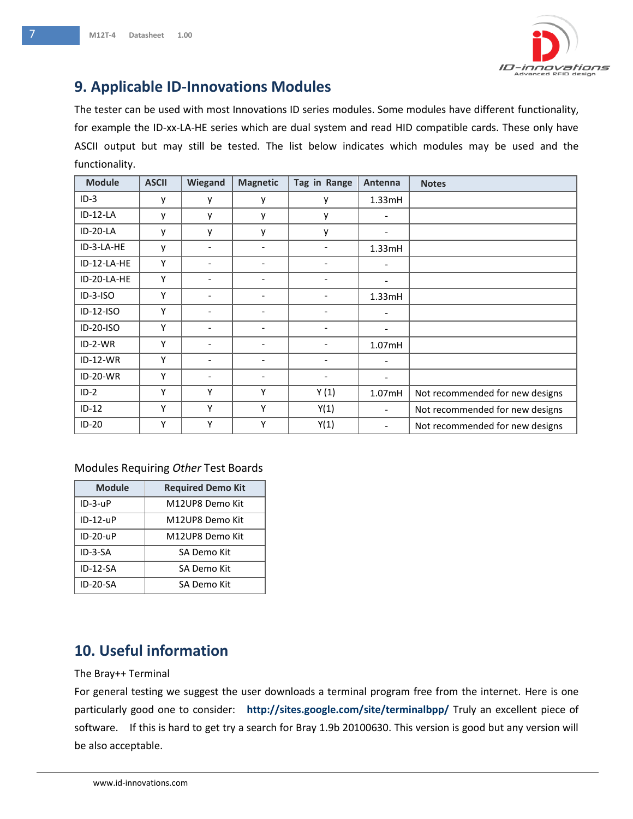

## <span id="page-6-0"></span>**9. Applicable ID-Innovations Modules**

The tester can be used with most Innovations ID series modules. Some modules have different functionality, for example the ID-xx-LA-HE series which are dual system and read HID compatible cards. These only have ASCII output but may still be tested. The list below indicates which modules may be used and the functionality.

| <b>Module</b> | <b>ASCII</b> | Wiegand                  | <b>Magnetic</b>          | Tag in Range                 | Antenna                  | <b>Notes</b>                    |
|---------------|--------------|--------------------------|--------------------------|------------------------------|--------------------------|---------------------------------|
| $ID-3$        | у            | y                        | y                        | у                            | 1.33mH                   |                                 |
| $ID-12-LA$    | ٧            | y                        | y                        | y                            | $\overline{\phantom{a}}$ |                                 |
| $ID-20-LA$    | у            | y                        | y                        | у                            | $\overline{\phantom{a}}$ |                                 |
| ID-3-LA-HE    | V            | $\overline{\phantom{a}}$ | $\overline{\phantom{0}}$ | $\overline{\phantom{0}}$     | 1.33mH                   |                                 |
| ID-12-LA-HE   | Υ            | $\overline{\phantom{a}}$ | $\overline{\phantom{0}}$ | $\qquad \qquad -$            | $\overline{\phantom{a}}$ |                                 |
| ID-20-LA-HE   | Υ            | ۰                        | -                        |                              | $\overline{\phantom{a}}$ |                                 |
| $ID-3-ISO$    | Υ            | $\overline{\phantom{a}}$ | $\overline{\phantom{0}}$ | $\overline{\phantom{0}}$     | 1.33mH                   |                                 |
| ID-12-ISO     | Υ            | $\overline{\phantom{a}}$ | $\overline{\phantom{0}}$ | $\overline{\phantom{0}}$     | $\overline{\phantom{a}}$ |                                 |
| ID-20-ISO     | Υ            |                          |                          |                              | $\overline{\phantom{a}}$ |                                 |
| ID-2-WR       | Υ            | $\overline{\phantom{a}}$ | -                        | $\overline{\phantom{0}}$     | 1.07mH                   |                                 |
| $ID-12-WR$    | Υ            | $\overline{\phantom{a}}$ | $\overline{\phantom{0}}$ | $\qquad \qquad \blacksquare$ | $\overline{\phantom{a}}$ |                                 |
| ID-20-WR      | Υ            | -                        |                          |                              | $\overline{\phantom{a}}$ |                                 |
| $ID-2$        | Υ            | Υ                        | Υ                        | Y(1)                         | 1.07mH                   | Not recommended for new designs |
| $ID-12$       | Υ            | Υ                        | Υ                        | Y(1)                         | $\overline{\phantom{a}}$ | Not recommended for new designs |
| $ID-20$       | Υ            | Υ                        | Υ                        | Y(1)                         | $\overline{\phantom{a}}$ | Not recommended for new designs |

#### Modules Requiring *Other* Test Boards

| <b>Module</b>   | <b>Required Demo Kit</b> |
|-----------------|--------------------------|
| $ID-3-UP$       | M12UP8 Demo Kit          |
| $ID-12-UP$      | M12UP8 Demo Kit          |
| $ID-2D-UP$      | M12UP8 Demo Kit          |
| ID-3-SA         | SA Demo Kit              |
| $ID-12-SA$      | SA Demo Kit              |
| <b>ID-20-SA</b> | SA Demo Kit              |

# <span id="page-6-1"></span>**10. Useful information**<br>The Bray++ Terminal

#### The Bray++ Terminal

For general testing we suggest the user downloads a terminal program free from the internet. Here is one<br>particularly good one to consider: **http://sites.google.com/site/terminalbpp/** Truly an excellent piece of For general testing we suggest the user downloads a terminal program free from the internet. Here is one software. If this is hard to get try a search for Bray 1.9b 20100630. This version is good but any version will be also acceptable.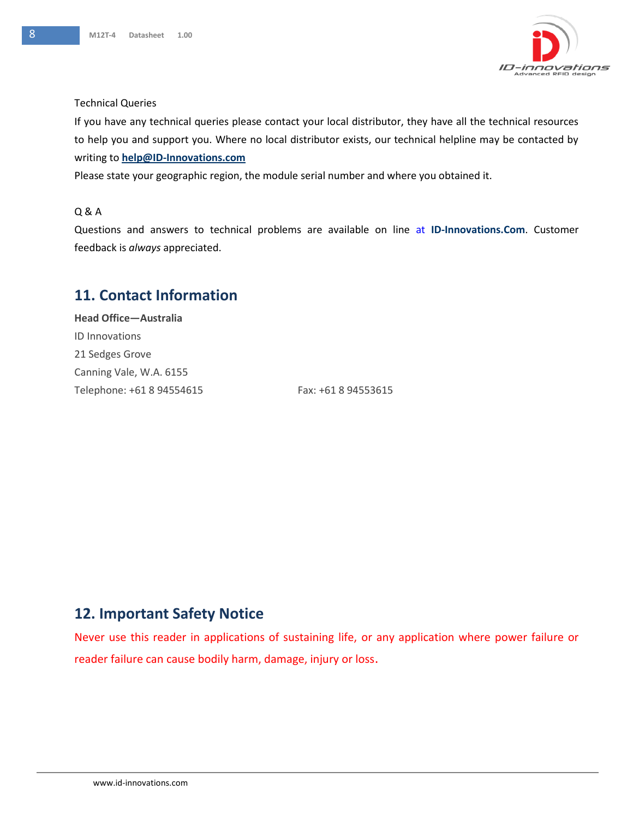

#### Technical Queries

If you have any technical queries please contact your local distributor, they have all the technical resources to help you and support you. Where no local distributor exists, our technical helpline may be contacted by writing to **[help@ID-Innovations.com](mailto:help@ID-Innovations.com)** 

Please state your geographic region, the module serial number and where you obtained it.

#### Q & A

Questions and answers to technical problems are available on line at **ID-Innovations.Com**. Customer feedback is *always* appreciated.

#### <span id="page-7-0"></span>**11. Contact Information**

**Head Office—Australia** ID Innovations 21 Sedges Grove Canning Vale, W.A. 6155 Telephone: +61 8 94554615 Fax: +61 8 94553615

#### <span id="page-7-1"></span>**12. Important Safety Notice**

<span id="page-7-2"></span>Never use this reader in applications of sustaining life, or any application where power failure or reader failure can cause bodily harm, damage, injury or loss.